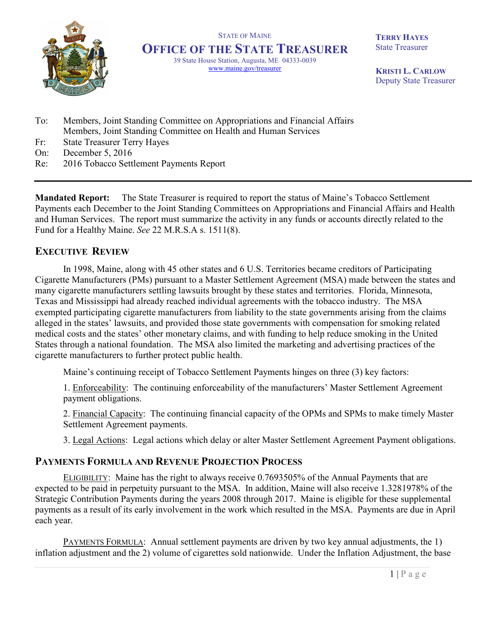

STATE OF MAINE **OFFICE OF THE STATE TREASURER** 39 State House Station, Augusta, ME 04333-0039 www.maine.gov/treasurer

**TERRY HAYES** State Treasurer

**KRISTI L. CARLOW** Deputy State Treasurer

- To: Members, Joint Standing Committee on Appropriations and Financial Affairs Members, Joint Standing Committee on Health and Human Services
- Fr: State Treasurer Terry Hayes
- On: December 5, 2016
- Re: 2016 Tobacco Settlement Payments Report

**Mandated Report:** The State Treasurer is required to report the status of Maine's Tobacco Settlement Payments each December to the Joint Standing Committees on Appropriations and Financial Affairs and Health and Human Services. The report must summarize the activity in any funds or accounts directly related to the Fund for a Healthy Maine. *See* 22 M.R.S.A s. 1511(8).

## **EXECUTIVE REVIEW**

In 1998, Maine, along with 45 other states and 6 U.S. Territories became creditors of Participating Cigarette Manufacturers (PMs) pursuant to a Master Settlement Agreement (MSA) made between the states and many cigarette manufacturers settling lawsuits brought by these states and territories. Florida, Minnesota, Texas and Mississippi had already reached individual agreements with the tobacco industry. The MSA exempted participating cigarette manufacturers from liability to the state governments arising from the claims alleged in the states' lawsuits, and provided those state governments with compensation for smoking related medical costs and the states' other monetary claims, and with funding to help reduce smoking in the United States through a national foundation. The MSA also limited the marketing and advertising practices of the cigarette manufacturers to further protect public health.

Maine's continuing receipt of Tobacco Settlement Payments hinges on three (3) key factors:

1. Enforceability: The continuing enforceability of the manufacturers' Master Settlement Agreement payment obligations.

2. Financial Capacity: The continuing financial capacity of the OPMs and SPMs to make timely Master Settlement Agreement payments.

3. Legal Actions: Legal actions which delay or alter Master Settlement Agreement Payment obligations.

## **PAYMENTS FORMULA AND REVENUE PROJECTION PROCESS**

ELIGIBILITY: Maine has the right to always receive 0.7693505% of the Annual Payments that are expected to be paid in perpetuity pursuant to the MSA. In addition, Maine will also receive 1.3281978% of the Strategic Contribution Payments during the years 2008 through 2017. Maine is eligible for these supplemental payments as a result of its early involvement in the work which resulted in the MSA. Payments are due in April each year.

PAYMENTS FORMULA: Annual settlement payments are driven by two key annual adjustments, the 1) inflation adjustment and the 2) volume of cigarettes sold nationwide. Under the Inflation Adjustment, the base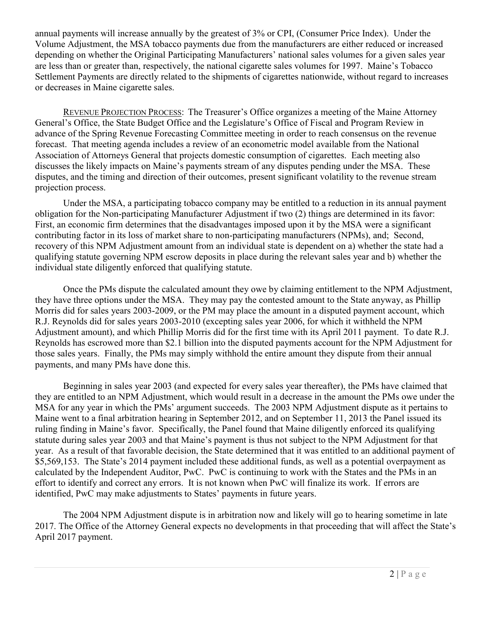annual payments will increase annually by the greatest of 3% or CPI, (Consumer Price Index). Under the Volume Adjustment, the MSA tobacco payments due from the manufacturers are either reduced or increased depending on whether the Original Participating Manufacturers' national sales volumes for a given sales year are less than or greater than, respectively, the national cigarette sales volumes for 1997. Maine's Tobacco Settlement Payments are directly related to the shipments of cigarettes nationwide, without regard to increases or decreases in Maine cigarette sales.

REVENUE PROJECTION PROCESS: The Treasurer's Office organizes a meeting of the Maine Attorney General's Office, the State Budget Office and the Legislature's Office of Fiscal and Program Review in advance of the Spring Revenue Forecasting Committee meeting in order to reach consensus on the revenue forecast. That meeting agenda includes a review of an econometric model available from the National Association of Attorneys General that projects domestic consumption of cigarettes. Each meeting also discusses the likely impacts on Maine's payments stream of any disputes pending under the MSA. These disputes, and the timing and direction of their outcomes, present significant volatility to the revenue stream projection process.

Under the MSA, a participating tobacco company may be entitled to a reduction in its annual payment obligation for the Non-participating Manufacturer Adjustment if two (2) things are determined in its favor: First, an economic firm determines that the disadvantages imposed upon it by the MSA were a significant contributing factor in its loss of market share to non-participating manufacturers (NPMs), and; Second, recovery of this NPM Adjustment amount from an individual state is dependent on a) whether the state had a qualifying statute governing NPM escrow deposits in place during the relevant sales year and b) whether the individual state diligently enforced that qualifying statute.

Once the PMs dispute the calculated amount they owe by claiming entitlement to the NPM Adjustment, they have three options under the MSA. They may pay the contested amount to the State anyway, as Phillip Morris did for sales years 2003-2009, or the PM may place the amount in a disputed payment account, which R.J. Reynolds did for sales years 2003-2010 (excepting sales year 2006, for which it withheld the NPM Adjustment amount), and which Phillip Morris did for the first time with its April 2011 payment. To date R.J. Reynolds has escrowed more than \$2.1 billion into the disputed payments account for the NPM Adjustment for those sales years. Finally, the PMs may simply withhold the entire amount they dispute from their annual payments, and many PMs have done this.

Beginning in sales year 2003 (and expected for every sales year thereafter), the PMs have claimed that they are entitled to an NPM Adjustment, which would result in a decrease in the amount the PMs owe under the MSA for any year in which the PMs' argument succeeds. The 2003 NPM Adjustment dispute as it pertains to Maine went to a final arbitration hearing in September 2012, and on September 11, 2013 the Panel issued its ruling finding in Maine's favor. Specifically, the Panel found that Maine diligently enforced its qualifying statute during sales year 2003 and that Maine's payment is thus not subject to the NPM Adjustment for that year. As a result of that favorable decision, the State determined that it was entitled to an additional payment of \$5,569,153. The State's 2014 payment included these additional funds, as well as a potential overpayment as calculated by the Independent Auditor, PwC. PwC is continuing to work with the States and the PMs in an effort to identify and correct any errors. It is not known when PwC will finalize its work. If errors are identified, PwC may make adjustments to States' payments in future years.

The 2004 NPM Adjustment dispute is in arbitration now and likely will go to hearing sometime in late 2017. The Office of the Attorney General expects no developments in that proceeding that will affect the State's April 2017 payment.